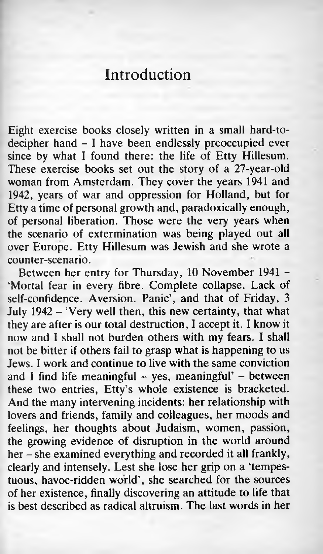Eight exercise books closely written in a small hard-todecipher hand - I have been endlessly preoccupied ever since by what I found there: the life of Etty Hillesum. These exercise books set out the story of a 27-year-old woman from Amsterdam. They cover the years 1941 and 1942, years of war and oppression for Holland, but for Etty a time of personal growth and, paradoxically enough, of personal liberation. Those were the very years when the scenario of extermination was being played out all over Europe. Etty Hillesum was Jewish and she wrote a counter-scenario.

Between her entry for Thursday, 10 November 1941 - 'Mortal fear in every fibre. Complete collapse. Lack of self-confidence. Aversion. Panic', and that of Friday, 3 July 1942 - 'Very well then, this new certainty, that what they are after is our total destruction, I accept it. I know it now and I shall not burden others with my fears. I shall not be bitter if others fail to grasp what is happening to us Jews. I work and continue to live with the same conviction and I find life meaningful  $-$  yes, meaningful'  $-$  between these two entries, Etty's whole existence is bracketed. And the many intervening incidents: her relationship with lovers and friends, family and colleagues, her moods and feelings, her thoughts about Judaism, women, passion, the growing evidence of disruption in the world around her – she examined everything and recorded it all frankly, clearly and intensely. Lest she lose her grip on a 'tempestuous, havoc-ridden world', she searched for the sources of her existence, finally discovering an attitude to life that is best described as radical altruism. The last words in her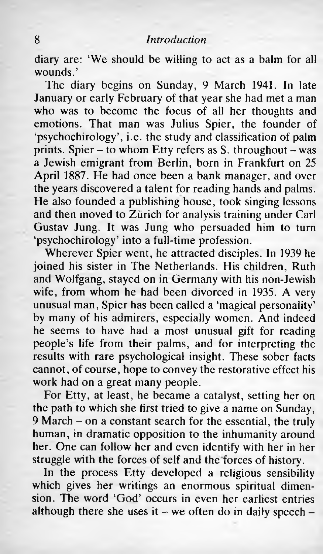diary are: 'We should be willing to act as a balm for all wounds.'

The diary begins on Sunday, 9 March 1941. In late January or early February of that year she had met a man who was to become the focus of all her thoughts and emotions. That man was Julius Spier, the founder of 'psychochirology', i.e. the study and classification of palm prints. Spier – to whom Etty refers as S. throughout – was a Jewish emigrant from Berlin, born in Frankfurt on 25 April 1887. He had once been a bank manager, and over the years discovered a talent for reading hands and palms. He also founded a publishing house, took singing lessons and then moved to Zürich for analysis training under Carl Gustav Jung. It was Jung who persuaded him to turn 'psychochirology' into a full-time profession.

Wherever Spier went, he attracted disciples. In 1939 he joined his sister in The Netherlands. His children, Ruth and Wolfgang, stayed on in Germany with his non-Jewish wife, from whom he had been divorced in 1935. A very unusual man, Spier has been called a 'magical personality' by many of his admirers, especially women. And indeed he seems to have had a most unusual gift for reading people's life from their palms, and for interpreting the results with rare psychological insight. These sober facts cannot, of course, hope to convey the restorative effect his work had on a great many people.

For Etty, at least, he became a catalyst, setting her on the path to which she first tried to give a name on Sunday, 9 March – on a constant search for the essential, the truly human, in dramatic opposition to the inhumanity around her. One can follow her and even identify with her in her struggle with the forces of self and the forces of history.

In the process Etty developed a religious sensibility which gives her writings an enormous spiritual dimension. The word 'God' occurs in even her earliest entries although there she uses it - we often do in daily speech -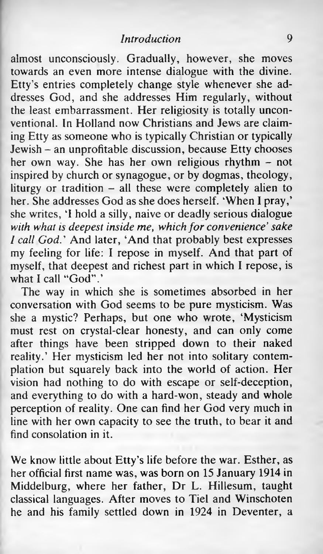almost unconsciously. Gradually, however, she moves towards an even more intense dialogue with the divine. Etty's entries completely change style whenever she addresses God, and she addresses Him regularly, without the least embarrassment. Her religiosity is totally unconventional. In Holland now Christians and Jews are claiming Etty as someone who is typically Christian or typically Jewish - an unprofitable discussion, because Etty chooses her own way. She has her own religious rhythm - not inspired by church or synagogue, or by dogmas, theology, liturgy or tradition - all these were completely alien to her. She addresses God as she does herself. 'W hen I pray,' she writes, 'I hold a silly, naive or deadly serious dialogue with what is deepest inside me, which for convenience' sake *I call God.'* And later, 'And that probably best expresses my feeling for life: I repose in myself. And that part of myself, that deepest and richest part in which I repose, is what I call " $God"$ .

The way in which she is sometimes absorbed in her conversation with God seems to be pure mysticism. Was she a mystic? Perhaps, but one who wrote, 'Mysticism must rest on crystal-clear honesty, and can only come after things have been stripped down to their naked reality.' Her mysticism led her not into solitary contemplation but squarely back into the world of action. Her vision had nothing to do with escape or self-deception, and everything to do with a hard-won, steady and whole perception of reality. One can find her God very much in line with her own capacity to see the truth, to bear it and find consolation in it.

We know little about Etty's life before the war. Esther, as her official first name was, was born on 15 January 1914 in Middelburg, where her father, Dr L. Hillesum, taught classical languages. After moves to Tiel and Winschoten he and his family settled down in 1924 in Deventer, a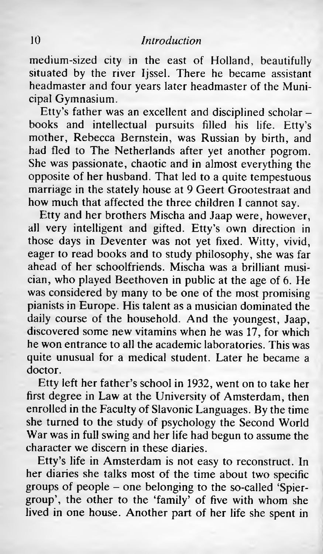medium-sized city in the east of Holland, beautifully situated by the river Ijssel. There he became assistant headmaster and four years later headmaster of the Municipal Gymnasium.

Etty's father was an excellent and disciplined scholar – books and intellectual pursuits filled his life. Etty's mother, Rebecca Bernstein, was Russian by birth, and had fled to The Netherlands after yet another pogrom. She was passionate, chaotic and in almost everything the opposite of her husband. That led to a quite tempestuous marriage in the stately house at 9 Geert Grootestraat and how much that affected the three children I cannot say.

Etty and her brothers Mischa and Jaap were, however, all very intelligent and gifted. Etty's own direction in those days in Deventer was not yet fixed. Witty, vivid, eager to read books and to study philosophy, she was far ahead of her schoolfriends. Mischa was a brilliant musician, who played Beethoven in public at the age of 6. He was considered by many to be one of the most promising pianists in Europe. His talent as a musician dominated the daily course of the household. And the youngest, Jaap, discovered some new vitamins when he was 17, for which he won entrance to all the academic laboratories. This was quite unusual for a medical student. Later he became a doctor.

Etty left her father's school in 1932, went on to take her first degree in Law at the University of Amsterdam, then enrolled in the Faculty of Slavonic Languages. By the time she turned to the study of psychology the Second World War was in full swing and her life had begun to assume the character we discern in these diaries.

Etty's life in Amsterdam is not easy to reconstruct. In her diaries she talks most of the time about two specific groups of people - one belonging to the so-called 'Spiergroup', the other to the 'family' of five with whom she lived in one house. Another part of her life she spent in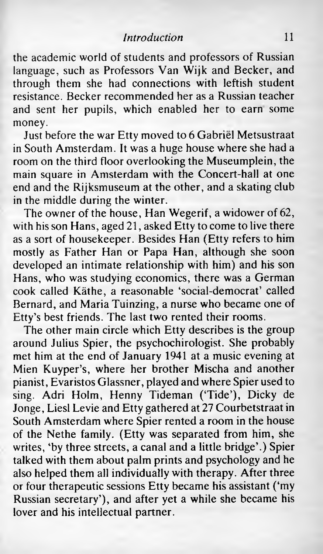the academic world of students and professors of Russian language, such as Professors Van Wijk and Becker, and through them she had connections with leftish student resistance. Becker recommended her as a Russian teacher and sent her pupils, which enabled her to earn some money.

Just before the war Etty moved to 6 Gabriel Metsustraat in South Amsterdam. It was a huge house where she had a room on the third floor overlooking the Museumplein, the main square in Amsterdam with the Concert-hall at one end and the Rijksmuseum at the other, and a skating club in the middle during the winter.

The owner of the house, Han Wegerif, a widower of 62, with his son Hans, aged 21, asked Etty to come to live there as a sort of housekeeper. Besides Han (Etty refers to him mostly as Father Han or Papa Han, although she soon developed an intimate relationship with him) and his son Hans, who was studying economics, there was a German cook called Käthe, a reasonable 'social-democrat' called Bernard, and Maria Tuinzing, a nurse who became one of Etty's best friends. The last two rented their rooms.

The other main circle which Etty describes is the group around Julius Spier, the psychochirologist. She probably met him at the end of January 1941 at a music evening at Mien Kuyper's, where her brother Mischa and another pianist, Evaristos Glassner, played and where Spier used to sing. Adri Holm, Henny Tideman ('Tide'), Dicky de Jonge, Liesl Levie and Etty gathered at 27 Courbetstraat in South Amsterdam where Spier rented a room in the house of the Nethe family. (Etty was separated from him, she writes, 'by three streets, a canal and a little bridge'.) Spier talked with them about palm prints and psychology and he also helped them all individually with therapy. After three or four therapeutic sessions Etty became his assistant ('my Russian secretary'), and after yet a while she became his lover and his intellectual partner.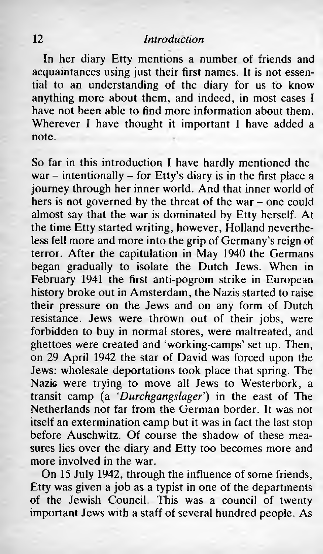In her diary Etty mentions a number of friends and acquaintances using just their first names. It is not essential to an understanding of the diary for us to know anything more about them, and indeed, in most cases I have not been able to find more information about them. Wherever I have thought it important I have added a note.

So far in this introduction I have hardly mentioned the war – intentionally – for Etty's diary is in the first place a journey through her inner world. And that inner world of hers is not governed by the threat of the war – one could almost say that the war is dominated by Etty herself. At the time Etty started writing, however, Holland nevertheless fell more and more into the grip of Germany's reign of terror. After the capitulation in May 1940 the Germans began gradually to isolate the Dutch Jews. When in February 1941 the first anti-pogrom strike in European history broke out in Amsterdam, the Nazis started to raise their pressure on the Jews and on any form of Dutch resistance. Jews were thrown out of their jobs, were forbidden to buy in normal stores, were maltreated, and ghettoes were created and 'working-camps' set up. Then, on 29 April 1942 the star of David was forced upon the Jews: wholesale deportations took place that spring. The Nazic were trying to move all Jews to Westerbork, a transit camp (a '*Durchgangslager')* in the east of The Netherlands not far from the German border. It was not itself an extermination camp but it was in fact the last stop before Auschwitz. Of course the shadow of these measures lies over the diary and Etty too becomes more and more involved in the war.

On 15 July 1942, through the influence of some friends, Etty was given a job as a typist in one of the departments of the Jewish Council. This was a council of twenty important Jews with a staff of several hundred people. As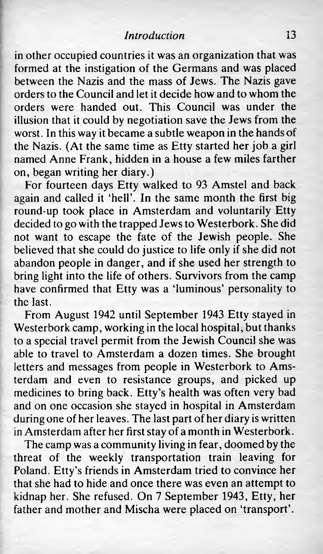in other occupied countries it was an organization that was formed at the instigation of the Germans and was placed between the Nazis and the mass of Jews. The Nazis gave orders to the Council and let it decide how and to whom the orders were handed out. This Council was under the illusion that it could by negotiation save the Jews from the worst. In this way it became a subtle weapon in the hands of the Nazis. (At the same time as Etty started her job a girl named Anne Frank, hidden in a house a few miles farther on, began writing her diary.)

For fourteen days Etty walked to 93 Amstel and back again and called it 'hell'. In the same month the first big round-up took place in Amsterdam and voluntarily Etty decided to go with the trapped Jews to Westerbork. She did not want to escape the fate of the Jewish people. She believed that she could do justice to life only if she did not abandon people in danger, and if she used her strength to bring light into the life of others. Survivors from the camp have confirmed that Etty was a 'luminous' personality to the last.

From August 1942 until September 1943 Etty stayed in Westerbork camp, working in the local hospital; but thanks to a special travel permit from the Jewish Council she was able to travel to Amsterdam a dozen times. She brought letters and messages from people in Westerbork to Amsterdam and even to resistance groups, and picked up medicines to bring back. Etty's health was often very bad and on one occasion she stayed in hospital in Amsterdam during one of her leaves. The last part of her diary is written in Amsterdam after her first stay of a month in Westerbork.

The camp was a community living in fear, doomed by the threat of the weekly transportation train leaving for Poland. Etty's friends in Amsterdam tried to convince her that she had to hide and once there was even an attempt to kidnap her. She refused. On 7 September 1943, Etty, her father and mother and Mischa were placed on 'transport'.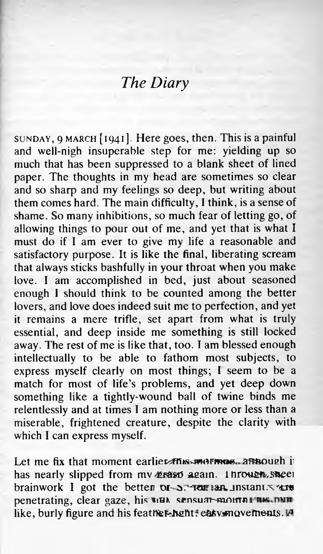# *The Diary*

SUNDAY, 9 MARCH [1941]. Here goes, then. This is a painful and well-nigh insuperable step for me: yielding up so much that has been suppressed to a blank sheet of lined paper. The thoughts in my head are sometimes so clear and so sharp and my feelings so deep, but writing about them comes hard. The main difficulty, I think, is a sense of shame. So many inhibitions, so much fear of letting go, of allowing things to pour out of me, and yet that is what I must do if I am ever to give my life a reasonable and satisfactory purpose. It is like the final, liberating scream that always sticks bashfully in your throat when you make love. I am accomplished in bed, just about seasoned enough I should think to be counted among the better lovers, and love does indeed suit me to perfection, and yet it remains a mere trifle, set apart from what is truly essential, and deep inside me something is still locked away. The rest of me is like that, too. I am blessed enough intellectually to be able to fathom most subjects, to express myself clearly on most things; I seem to be a match for most of life's problems, and yet deep down something like a tightly-wound ball of twine binds me relentlessly and at times I am nothing more or less than a miserable, frightened creature, despite the clarity with which I can express myself.

Let me fix that moment earlier *Missimormos*. *arthough* if has nearly slipped from mv #raso again. Inrough sneei brainwork I got the better or-5. TOF san instant.x the penetrating, clear gaze, his \*iHk sensuat-montas numlike, burly figure and his feather-hent; easy movements. In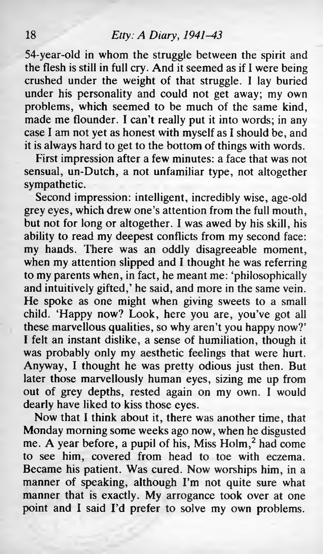54-year-old in whom the struggle between the spirit and the flesh is still in full cry. And it seemed as if I were being crushed under the weight of that struggle. I lay buried under his personality and could not get away; my own problems, which seemed to be much of the same kind, made me flounder. I can't really put it into words; in any case I am not yet as honest with myself as I should be, and it is always hard to get to the bottom of things with words.

First impression after a few minutes: a face that was not sensual, un-Dutch, a not unfamiliar type, not altogether sympathetic.

Second impression: intelligent, incredibly wise, age-old grey eyes, which drew one's attention from the full mouth, but not for long or altogether. I was awed by his skill, his ability to read my deepest conflicts from my second face: my hands. There was an oddly disagreeable moment, when my attention slipped and I thought he was referring to my parents when, in fact, he meant me: 'philosophically and intuitively gifted,' he said, and more in the same vein. He spoke as one might when giving sweets to a small child. 'Happy now? Look, here you are, you've got all these marvellous qualities, so why aren't you happy now?' I felt an instant dislike, a sense of humiliation, though it was probably only my aesthetic feelings that were hurt. Anyway, I thought he was pretty odious just then. But later those marvellously human eyes, sizing me up from out of grey depths, rested again on my own. I would dearly have liked to kiss those eyes.

Now that I think about it, there was another time, that Monday morning some weeks ago now, when he disgusted me. A year before, a pupil of his, Miss  $\text{Holm}$ , had come to see him, covered from head to toe with eczema. Became his patient. Was cured. Now worships him, in a manner of speaking, although I'm not quite sure what manner that is exactly. My arrogance took over at one point and I said I'd prefer to solve my own problems.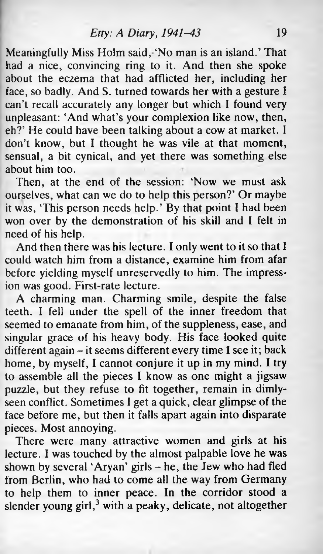Meaningfully Miss Holm said, 'No man is an island.' That had a nice, convincing ring to it. And then she spoke about the eczema that had afflicted her, including her face, so badly. And S. turned towards her with a gesture I can't recall accurately any longer but which I found very unpleasant: 'And what's your complexion like now, then, eh?' He could have been talking about a cow at market. I don't know, but I thought he was vile at that moment, sensual, a bit cynical, and yet there was something else about him too.

Then, at the end of the session: 'Now we must ask ourselves, what can we do to help this person?' Or maybe it was, 'This person needs help.' By that point I had been won over by the demonstration of his skill and I felt in need of his help.

And then there was his lecture. I only went to it so that I could watch him from a distance, examine him from afar before yielding myself unreservedly to him. The impression was good. First-rate lecture.

A charming man. Charming smile, despite the false teeth. I fell under the spell of the inner freedom that seemed to emanate from him, of the suppleness, ease, and singular grace of his heavy body. His face looked quite different again - it seems different every time I see it; back home, by myself, I cannot conjure it up in my mind. I try to assemble all the pieces I know as one might a jigsaw puzzle, but they refuse to fit together, remain in dimlyseen conflict. Sometimes I get a quick, clear glimpse of the face before me, but then it falls apart again into disparate pieces. Most annoying.

There were many attractive women and girls at his lecture. I was touched by the almost palpable love he was shown by several 'Aryan' girls  $-$  he, the Jew who had fled from Berlin, who had to come all the way from Germany to help them to inner peace. In the corridor stood a slender young girl,<sup>3</sup> with a peaky, delicate, not altogether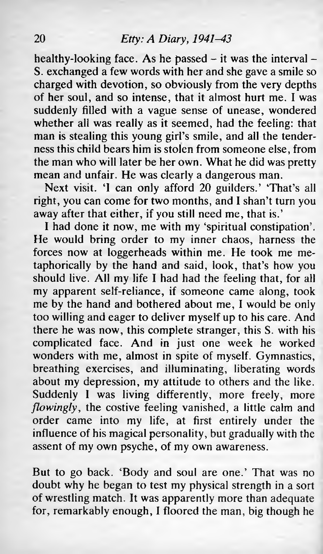healthy-looking face. As he passed – it was the interval – S. exchanged a few words with her and she gave a smile so charged with devotion, so obviously from the very depths of her soul, and so intense, that it almost hurt me. I was suddenly filled with a vague sense of unease, wondered whether all was really as it seemed, had the feeling: that man is stealing this young girl's smile, and all the tenderness this child bears him is stolen from someone else, from the man who will later be her own. What he did was pretty mean and unfair. He was clearly a dangerous man.

Next visit. 'I can only afford 20 guilders.' 'That's all right, you can come for two months, and I shan't turn you away after that either, if you still need me, that is.'

I had done it now, me with my 'spiritual constipation'. He would bring order to my inner chaos, harness the forces now at loggerheads within me. He took me metaphorically by the hand and said, look, that's how you should live. All my life I had had the feeling that, for all my apparent self-reliance, if someone came along, took me by the hand and bothered about me, I would be only too willing and eager to deliver myself up to his care. And there he was now, this complete stranger, this S. with his complicated face. And in just one week he worked wonders with me, almost in spite of myself. Gymnastics, breathing exercises, and illuminating, liberating words about my depression, my attitude to others and the like. Suddenly I was living differently, more freely, more *flowingly,* the costive feeling vanished, a little calm and order came into my life, at first entirely under the influence of his magical personality, but gradually with the assent of my own psyche, of my own awareness.

But to go back. 'Body and soul are one.' That was no doubt why he began to test my physical strength in a sort of wrestling match. It was apparently more than adequate for, remarkably enough, I floored the man, big though he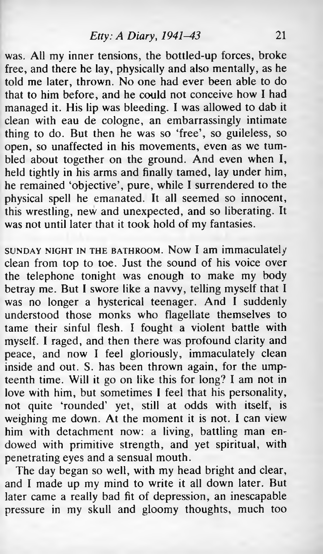#### *Etty: A Diary, 1941-43* 21

was. All my inner tensions, the bottled-up forces, broke free, and there he lay, physically and also mentally, as he told me later, thrown. No one had ever been able to do that to him before, and he could not conceive how I had managed it. His lip was bleeding. I was allowed to dab it clean with eau de cologne, an embarrassingly intimate thing to do. But then he was so 'free', so guileless, so open, so unaffected in his movements, even as we tumbled about together on the ground. And even when I, held tightly in his arms and finally tamed, lay under him, he remained 'objective', pure, while I surrendered to the physical spell he emanated. It all seemed so innocent, this wrestling, new and unexpected, and so liberating. It was not until later that it took hold of my fantasies.

SUNDAY NIGHT IN THE BATHROOM. Now I am immaculately clean from top to toe. Just the sound of his voice over the telephone tonight was enough to make my body betray me. But I swore like a navvy, telling myself that I was no longer a hysterical teenager. And I suddenly understood those monks who flagellate themselves to tame their sinful flesh. I fought a violent battle with myself. I raged, and then there was profound clarity and peace, and now I feel gloriously, immaculately clean inside and out. S. has been thrown again, for the umpteenth time. Will it go on like this for long? I am not in love with him, but sometimes I feel that his personality, not quite 'rounded' yet, still at odds with itself, is weighing me down. At the moment it is not. I can view him with detachment now: a living, battling man endowed with primitive strength, and yet spiritual, with penetrating eyes and a sensual mouth.

The day began so well, with my head bright and clear, and I made up my mind to write it all down later. But later came a really bad fit of depression, an inescapable pressure in my skull and gloomy thoughts, much too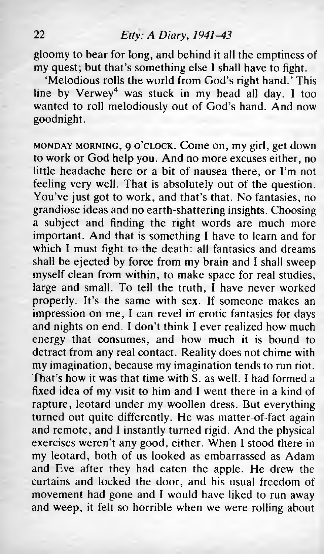gloomy to bear for long, and behind it all the emptiness of my quest; but that's something else I shall have to fight.

'Melodious rolls the world from God's right hand.' This line by Verwey<sup>4</sup> was stuck in my head all day. I too wanted to roll melodiously out of God's hand. And now goodnight.

MONDAY MORNING, 9 O'CLOCK. Come on, my girl, get down to work or God help you. And no more excuses either, no little headache here or a bit of nausea there, or I'm not feeling very well. That is absolutely out of the question. You've just got to work, and that's that. No fantasies, no grandiose ideas and no earth-shattering insights. Choosing a subject and finding the right words are much more important. And that is something I have to learn and for which I must fight to the death: all fantasies and dreams shall be ejected by force from my brain and I shall sweep myself clean from within, to make space for real studies, large and small. To tell the truth, I have never worked properly. It's the same with sex. If someone makes an impression on me, I can revel in erotic fantasies for days and nights on end. I don't think I ever realized how much energy that consumes, and how much it is bound to detract from any real contact. Reality does not chime with my imagination, because my imagination tends to run riot. That's how it was that time with S. as well. I had formed a fixed idea of my visit to him and I went there in a kind of rapture, leotard under my woollen dress. But everything turned out quite differently. He was matter-of-fact again and remote, and I instantly turned rigid. And the physical exercises weren't any good, either. When I stood there in my leotard, both of us looked as embarrassed as Adam and Eve after they had eaten the apple. He drew the curtains and locked the door, and his usual freedom of movement had gone and I would have liked to run away and weep, it felt so horrible when we were rolling about